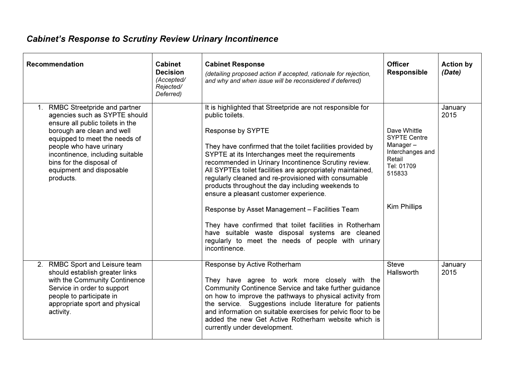## Cabinet's Response to Scrutiny Review Urinary Incontinence

| <b>Recommendation</b>                                                                                                                                                                                                                                                                                   | Cabinet<br><b>Decision</b><br>(Accepted/<br>Rejected/<br>Deferred) | <b>Cabinet Response</b><br>(detailing proposed action if accepted, rationale for rejection,<br>and why and when issue will be reconsidered if deferred)                                                                                                                                                                                                                                                                                                                                                                                                                                                                                                                                                                                  | <b>Officer</b><br><b>Responsible</b>                                                                                         | <b>Action by</b><br>(Date) |
|---------------------------------------------------------------------------------------------------------------------------------------------------------------------------------------------------------------------------------------------------------------------------------------------------------|--------------------------------------------------------------------|------------------------------------------------------------------------------------------------------------------------------------------------------------------------------------------------------------------------------------------------------------------------------------------------------------------------------------------------------------------------------------------------------------------------------------------------------------------------------------------------------------------------------------------------------------------------------------------------------------------------------------------------------------------------------------------------------------------------------------------|------------------------------------------------------------------------------------------------------------------------------|----------------------------|
| 1. RMBC Streetpride and partner<br>agencies such as SYPTE should<br>ensure all public toilets in the<br>borough are clean and well<br>equipped to meet the needs of<br>people who have urinary<br>incontinence, including suitable<br>bins for the disposal of<br>equipment and disposable<br>products. |                                                                    | It is highlighted that Streetpride are not responsible for<br>public toilets.<br>Response by SYPTE<br>They have confirmed that the toilet facilities provided by<br>SYPTE at its Interchanges meet the requirements<br>recommended in Urinary Incontinence Scrutiny review.<br>All SYPTEs toilet facilities are appropriately maintained,<br>regularly cleaned and re-provisioned with consumable<br>products throughout the day including weekends to<br>ensure a pleasant customer experience.<br>Response by Asset Management - Facilities Team<br>They have confirmed that toilet facilities in Rotherham<br>have suitable waste disposal systems are cleaned<br>regularly to meet the needs of people with urinary<br>incontinence. | Dave Whittle<br><b>SYPTE Centre</b><br>Manager-<br>Interchanges and<br>Retail<br>Tel: 01709<br>515833<br><b>Kim Phillips</b> | January<br>2015            |
| 2. RMBC Sport and Leisure team<br>should establish greater links<br>with the Community Continence<br>Service in order to support<br>people to participate in<br>appropriate sport and physical<br>activity.                                                                                             |                                                                    | Response by Active Rotherham<br>They have agree to work more closely with the<br>Community Continence Service and take further guidance<br>on how to improve the pathways to physical activity from<br>the service. Suggestions include literature for patients<br>and information on suitable exercises for pelvic floor to be<br>added the new Get Active Rotherham website which is<br>currently under development.                                                                                                                                                                                                                                                                                                                   | <b>Steve</b><br>Hallsworth                                                                                                   | January<br>2015            |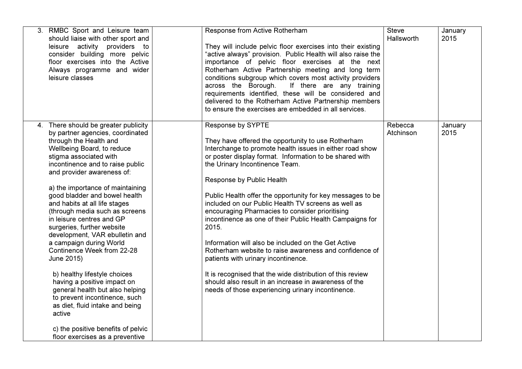| 3. RMBC Sport and Leisure team<br>should liaise with other sport and<br>leisure activity providers to<br>consider building more pelvic<br>floor exercises into the Active<br>Always programme and wider<br>leisure classes                                                                                                                                                                                                                                                                                                                                                                                                                                                                                                                                                                        | Response from Active Rotherham<br>They will include pelvic floor exercises into their existing<br>"active always" provision. Public Health will also raise the<br>importance of pelvic floor exercises at the next<br>Rotherham Active Partnership meeting and long term<br>conditions subgroup which covers most activity providers<br>across the Borough.<br>If there are any training<br>requirements identified, these will be considered and<br>delivered to the Rotherham Active Partnership members<br>to ensure the exercises are embedded in all services.                                                                                                                                                                                                                                                                            | <b>Steve</b><br>Hallsworth | January<br>2015 |
|---------------------------------------------------------------------------------------------------------------------------------------------------------------------------------------------------------------------------------------------------------------------------------------------------------------------------------------------------------------------------------------------------------------------------------------------------------------------------------------------------------------------------------------------------------------------------------------------------------------------------------------------------------------------------------------------------------------------------------------------------------------------------------------------------|------------------------------------------------------------------------------------------------------------------------------------------------------------------------------------------------------------------------------------------------------------------------------------------------------------------------------------------------------------------------------------------------------------------------------------------------------------------------------------------------------------------------------------------------------------------------------------------------------------------------------------------------------------------------------------------------------------------------------------------------------------------------------------------------------------------------------------------------|----------------------------|-----------------|
| 4. There should be greater publicity<br>by partner agencies, coordinated<br>through the Health and<br>Wellbeing Board, to reduce<br>stigma associated with<br>incontinence and to raise public<br>and provider awareness of:<br>a) the importance of maintaining<br>good bladder and bowel health<br>and habits at all life stages<br>(through media such as screens<br>in leisure centres and GP<br>surgeries, further website<br>development, VAR ebulletin and<br>a campaign during World<br>Continence Week from 22-28<br>June 2015)<br>b) healthy lifestyle choices<br>having a positive impact on<br>general health but also helping<br>to prevent incontinence, such<br>as diet, fluid intake and being<br>active<br>c) the positive benefits of pelvic<br>floor exercises as a preventive | Response by SYPTE<br>They have offered the opportunity to use Rotherham<br>Interchange to promote health issues in either road show<br>or poster display format. Information to be shared with<br>the Urinary Incontinence Team.<br>Response by Public Health<br>Public Health offer the opportunity for key messages to be<br>included on our Public Health TV screens as well as<br>encouraging Pharmacies to consider prioritising<br>incontinence as one of their Public Health Campaigns for<br>2015.<br>Information will also be included on the Get Active<br>Rotherham website to raise awareness and confidence of<br>patients with urinary incontinence.<br>It is recognised that the wide distribution of this review<br>should also result in an increase in awareness of the<br>needs of those experiencing urinary incontinence. | Rebecca<br>Atchinson       | January<br>2015 |